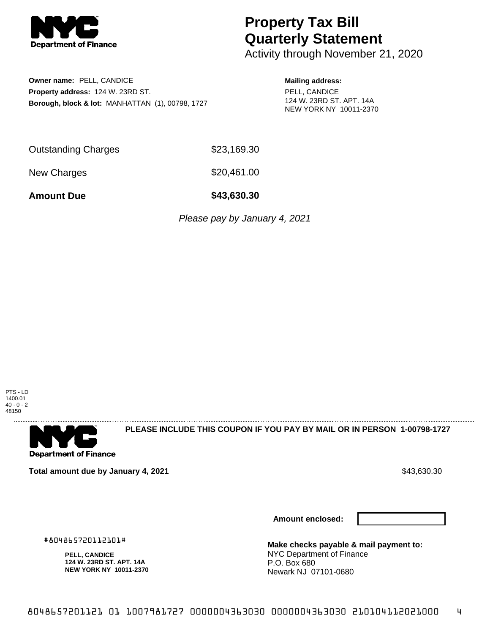

## **Property Tax Bill Quarterly Statement**

Activity through November 21, 2020

**Owner name:** PELL, CANDICE **Property address:** 124 W. 23RD ST. **Borough, block & lot:** MANHATTAN (1), 00798, 1727

## **Mailing address:**

PELL, CANDICE 124 W. 23RD ST. APT. 14A NEW YORK NY 10011-2370

Outstanding Charges \$23,169.30

New Charges \$20,461.00

**Amount Due \$43,630.30**

Please pay by January 4, 2021





**PLEASE INCLUDE THIS COUPON IF YOU PAY BY MAIL OR IN PERSON 1-00798-1727** 

**Total amount due by January 4, 2021**  $\bullet$  **10.4500.900**  $\bullet$  **43,630.30**  $\bullet$  **43,630.30** 

**Amount enclosed:**



**Make checks payable & mail payment to:** NYC Department of Finance P.O. Box 680 Newark NJ 07101-0680

#804865720112101#

**PELL, CANDICE 124 W. 23RD ST. APT. 14A NEW YORK NY 10011-2370**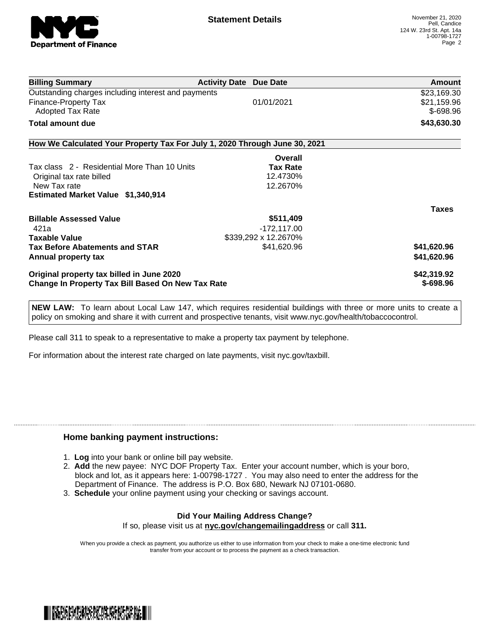

| <b>Billing Summary</b>                                                     | <b>Activity Date Due Date</b> |                      | Amount       |
|----------------------------------------------------------------------------|-------------------------------|----------------------|--------------|
| Outstanding charges including interest and payments                        |                               |                      | \$23,169.30  |
| Finance-Property Tax                                                       |                               | 01/01/2021           | \$21,159.96  |
| <b>Adopted Tax Rate</b>                                                    |                               |                      | \$-698.96    |
| Total amount due                                                           |                               |                      | \$43,630.30  |
| How We Calculated Your Property Tax For July 1, 2020 Through June 30, 2021 |                               |                      |              |
|                                                                            |                               | Overall              |              |
| Tax class 2 - Residential More Than 10 Units                               |                               | <b>Tax Rate</b>      |              |
| Original tax rate billed                                                   |                               | 12.4730%             |              |
| New Tax rate                                                               |                               | 12.2670%             |              |
| Estimated Market Value \$1,340,914                                         |                               |                      |              |
|                                                                            |                               |                      | <b>Taxes</b> |
| <b>Billable Assessed Value</b>                                             |                               | \$511,409            |              |
| 421a                                                                       |                               | $-172, 117.00$       |              |
| <b>Taxable Value</b>                                                       |                               | \$339,292 x 12.2670% |              |
| <b>Tax Before Abatements and STAR</b>                                      |                               | \$41,620.96          | \$41,620.96  |
| Annual property tax                                                        |                               |                      | \$41,620.96  |
| Original property tax billed in June 2020                                  |                               |                      | \$42,319.92  |
| <b>Change In Property Tax Bill Based On New Tax Rate</b>                   |                               |                      | $$-698.96$   |

**NEW LAW:** To learn about Local Law 147, which requires residential buildings with three or more units to create a policy on smoking and share it with current and prospective tenants, visit www.nyc.gov/health/tobaccocontrol.

Please call 311 to speak to a representative to make a property tax payment by telephone.

For information about the interest rate charged on late payments, visit nyc.gov/taxbill.

## **Home banking payment instructions:**

- 1. **Log** into your bank or online bill pay website.
- 2. **Add** the new payee: NYC DOF Property Tax. Enter your account number, which is your boro, block and lot, as it appears here: 1-00798-1727 . You may also need to enter the address for the Department of Finance. The address is P.O. Box 680, Newark NJ 07101-0680.
- 3. **Schedule** your online payment using your checking or savings account.

## **Did Your Mailing Address Change?** If so, please visit us at **nyc.gov/changemailingaddress** or call **311.**

When you provide a check as payment, you authorize us either to use information from your check to make a one-time electronic fund transfer from your account or to process the payment as a check transaction.